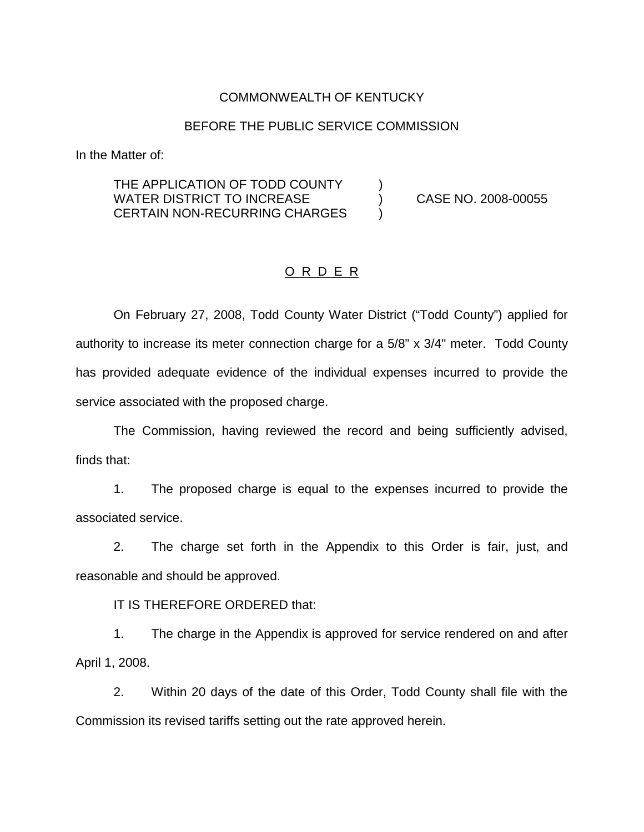## COMMONWEALTH OF KENTUCKY

#### BEFORE THE PUBLIC SERVICE COMMISSION

In the Matter of:

## THE APPLICATION OF TODD COUNTY  $\qquad \qquad )$ WATER DISTRICT TO INCREASE (2008-00055) CASE NO. 2008-00055 CERTAIN NON-RECURRING CHARGES )

### O R D E R

On February 27, 2008, Todd County Water District ("Todd County") applied for authority to increase its meter connection charge for a 5/8" x 3/4" meter. Todd County has provided adequate evidence of the individual expenses incurred to provide the service associated with the proposed charge.

The Commission, having reviewed the record and being sufficiently advised, finds that:

1. The proposed charge is equal to the expenses incurred to provide the associated service.

2. The charge set forth in the Appendix to this Order is fair, just, and reasonable and should be approved.

IT IS THEREFORE ORDERED that:

1. The charge in the Appendix is approved for service rendered on and after April 1, 2008.

2. Within 20 days of the date of this Order, Todd County shall file with the Commission its revised tariffs setting out the rate approved herein.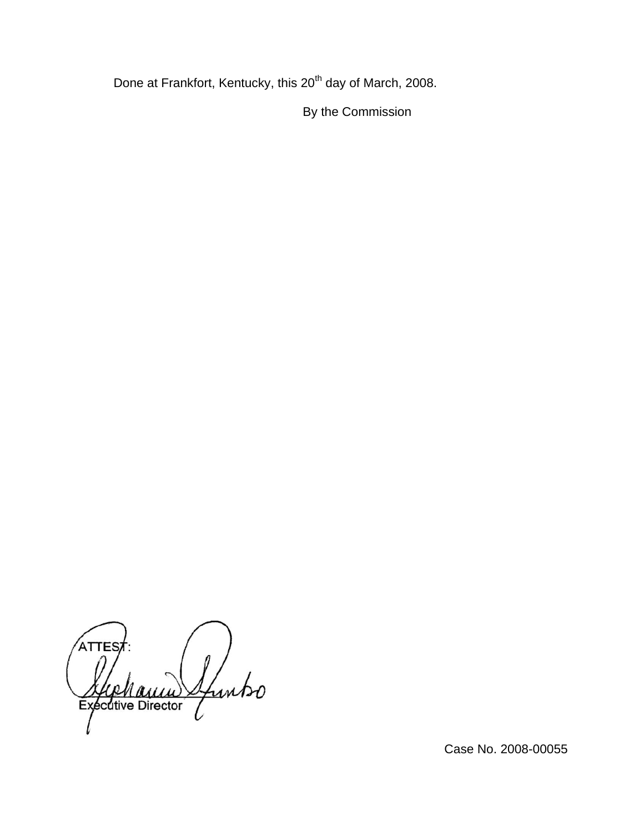Done at Frankfort, Kentucky, this 20<sup>th</sup> day of March, 2008.

By the Commission

ATTE funto Executive Director

Case No. 2008-00055